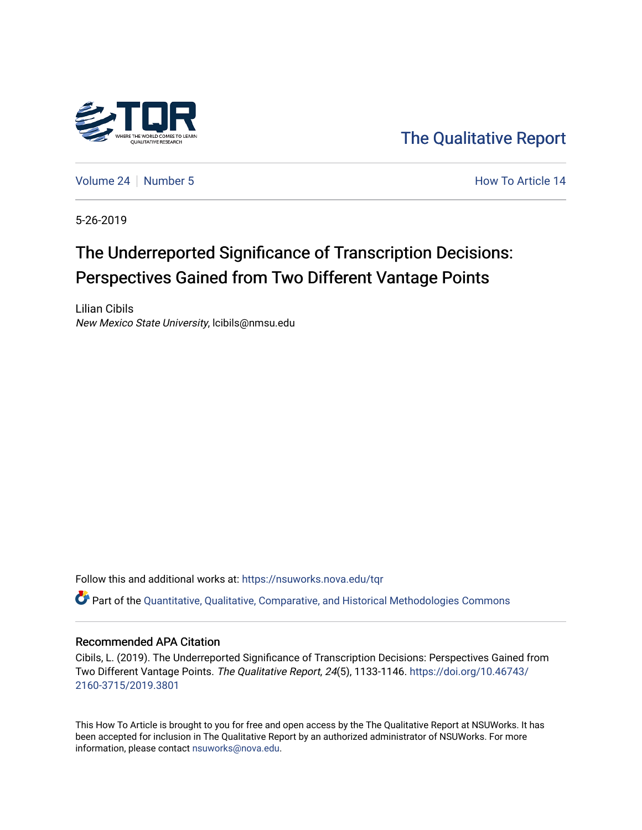

[The Qualitative Report](https://nsuworks.nova.edu/tqr) 

[Volume 24](https://nsuworks.nova.edu/tqr/vol24) [Number 5](https://nsuworks.nova.edu/tqr/vol24/iss5) **How To Article 14** How To Article 14

5-26-2019

## The Underreported Significance of Transcription Decisions: Perspectives Gained from Two Different Vantage Points

Lilian Cibils New Mexico State University, lcibils@nmsu.edu

Follow this and additional works at: [https://nsuworks.nova.edu/tqr](https://nsuworks.nova.edu/tqr?utm_source=nsuworks.nova.edu%2Ftqr%2Fvol24%2Fiss5%2F14&utm_medium=PDF&utm_campaign=PDFCoverPages) 

Part of the [Quantitative, Qualitative, Comparative, and Historical Methodologies Commons](http://network.bepress.com/hgg/discipline/423?utm_source=nsuworks.nova.edu%2Ftqr%2Fvol24%2Fiss5%2F14&utm_medium=PDF&utm_campaign=PDFCoverPages) 

#### Recommended APA Citation

Cibils, L. (2019). The Underreported Significance of Transcription Decisions: Perspectives Gained from Two Different Vantage Points. The Qualitative Report, 24(5), 1133-1146. [https://doi.org/10.46743/](https://doi.org/10.46743/2160-3715/2019.3801) [2160-3715/2019.3801](https://doi.org/10.46743/2160-3715/2019.3801)

This How To Article is brought to you for free and open access by the The Qualitative Report at NSUWorks. It has been accepted for inclusion in The Qualitative Report by an authorized administrator of NSUWorks. For more information, please contact [nsuworks@nova.edu.](mailto:nsuworks@nova.edu)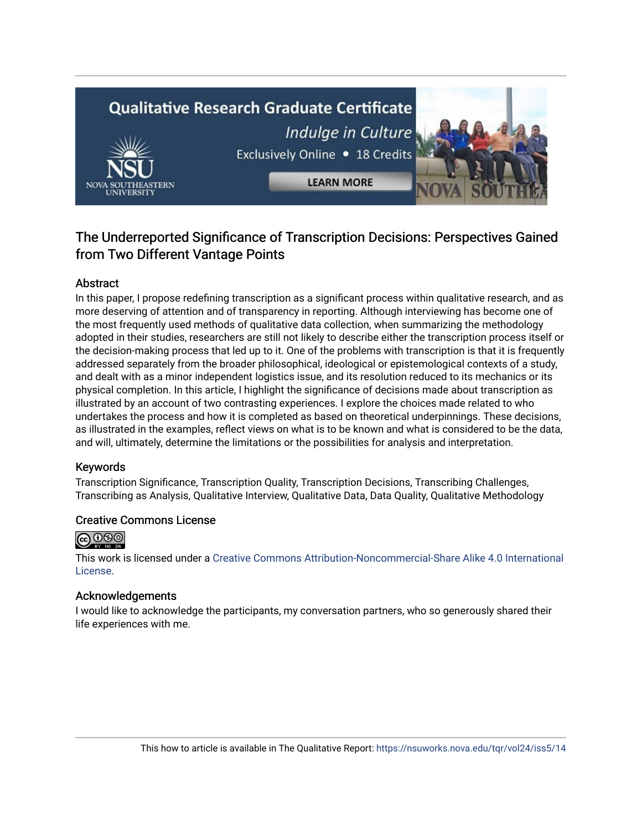# **Qualitative Research Graduate Certificate** Indulge in Culture Exclusively Online . 18 Credits **LEARN MORE**

### The Underreported Significance of Transcription Decisions: Perspectives Gained from Two Different Vantage Points

#### Abstract

In this paper, I propose redefining transcription as a significant process within qualitative research, and as more deserving of attention and of transparency in reporting. Although interviewing has become one of the most frequently used methods of qualitative data collection, when summarizing the methodology adopted in their studies, researchers are still not likely to describe either the transcription process itself or the decision-making process that led up to it. One of the problems with transcription is that it is frequently addressed separately from the broader philosophical, ideological or epistemological contexts of a study, and dealt with as a minor independent logistics issue, and its resolution reduced to its mechanics or its physical completion. In this article, I highlight the significance of decisions made about transcription as illustrated by an account of two contrasting experiences. I explore the choices made related to who undertakes the process and how it is completed as based on theoretical underpinnings. These decisions, as illustrated in the examples, reflect views on what is to be known and what is considered to be the data, and will, ultimately, determine the limitations or the possibilities for analysis and interpretation.

#### Keywords

Transcription Significance, Transcription Quality, Transcription Decisions, Transcribing Challenges, Transcribing as Analysis, Qualitative Interview, Qualitative Data, Data Quality, Qualitative Methodology

#### Creative Commons License



This work is licensed under a [Creative Commons Attribution-Noncommercial-Share Alike 4.0 International](https://creativecommons.org/licenses/by-nc-sa/4.0/)  [License](https://creativecommons.org/licenses/by-nc-sa/4.0/).

#### Acknowledgements

I would like to acknowledge the participants, my conversation partners, who so generously shared their life experiences with me.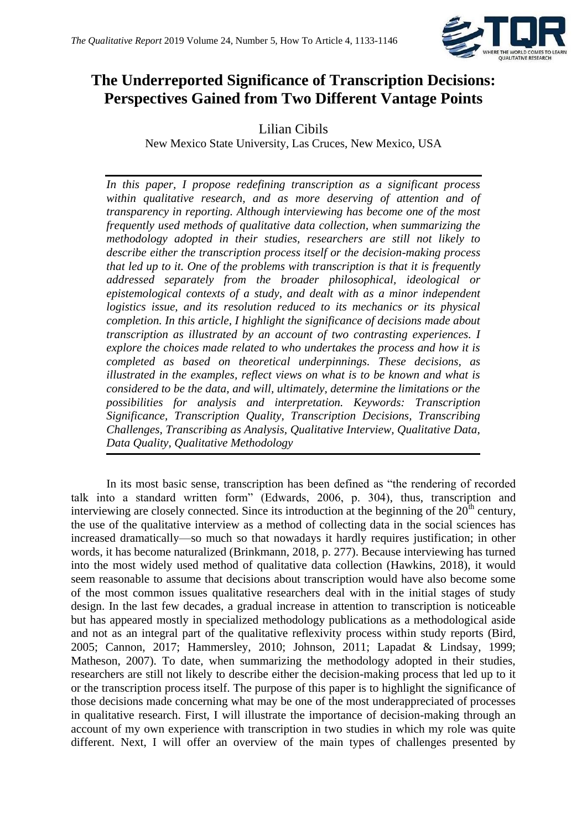

## **The Underreported Significance of Transcription Decisions: Perspectives Gained from Two Different Vantage Points**

Lilian Cibils

New Mexico State University, Las Cruces, New Mexico, USA

*In this paper, I propose redefining transcription as a significant process within qualitative research, and as more deserving of attention and of transparency in reporting. Although interviewing has become one of the most frequently used methods of qualitative data collection, when summarizing the methodology adopted in their studies, researchers are still not likely to describe either the transcription process itself or the decision-making process that led up to it. One of the problems with transcription is that it is frequently addressed separately from the broader philosophical, ideological or epistemological contexts of a study, and dealt with as a minor independent logistics issue, and its resolution reduced to its mechanics or its physical completion. In this article, I highlight the significance of decisions made about transcription as illustrated by an account of two contrasting experiences. I explore the choices made related to who undertakes the process and how it is completed as based on theoretical underpinnings. These decisions, as illustrated in the examples, reflect views on what is to be known and what is considered to be the data, and will, ultimately, determine the limitations or the possibilities for analysis and interpretation. Keywords: Transcription Significance, Transcription Quality, Transcription Decisions, Transcribing Challenges, Transcribing as Analysis, Qualitative Interview, Qualitative Data, Data Quality, Qualitative Methodology*

In its most basic sense, transcription has been defined as "the rendering of recorded talk into a standard written form" (Edwards, 2006, p. 304), thus, transcription and interviewing are closely connected. Since its introduction at the beginning of the  $20<sup>th</sup>$  century, the use of the qualitative interview as a method of collecting data in the social sciences has increased dramatically—so much so that nowadays it hardly requires justification; in other words, it has become naturalized (Brinkmann, 2018, p. 277). Because interviewing has turned into the most widely used method of qualitative data collection (Hawkins, 2018), it would seem reasonable to assume that decisions about transcription would have also become some of the most common issues qualitative researchers deal with in the initial stages of study design. In the last few decades, a gradual increase in attention to transcription is noticeable but has appeared mostly in specialized methodology publications as a methodological aside and not as an integral part of the qualitative reflexivity process within study reports (Bird, 2005; Cannon, 2017; Hammersley, 2010; Johnson, 2011; Lapadat & Lindsay, 1999; Matheson, 2007). To date, when summarizing the methodology adopted in their studies, researchers are still not likely to describe either the decision-making process that led up to it or the transcription process itself. The purpose of this paper is to highlight the significance of those decisions made concerning what may be one of the most underappreciated of processes in qualitative research. First, I will illustrate the importance of decision-making through an account of my own experience with transcription in two studies in which my role was quite different. Next, I will offer an overview of the main types of challenges presented by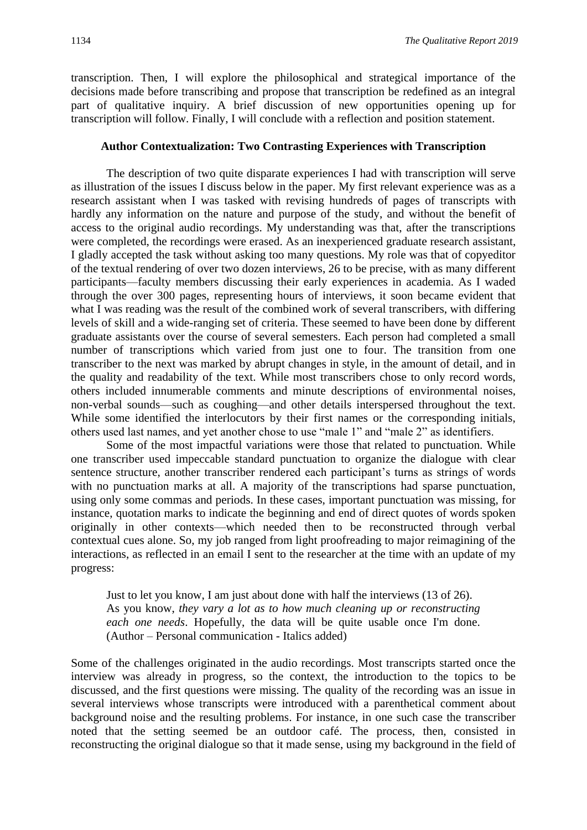transcription. Then, I will explore the philosophical and strategical importance of the decisions made before transcribing and propose that transcription be redefined as an integral part of qualitative inquiry. A brief discussion of new opportunities opening up for transcription will follow. Finally, I will conclude with a reflection and position statement.

#### **Author Contextualization: Two Contrasting Experiences with Transcription**

The description of two quite disparate experiences I had with transcription will serve as illustration of the issues I discuss below in the paper. My first relevant experience was as a research assistant when I was tasked with revising hundreds of pages of transcripts with hardly any information on the nature and purpose of the study, and without the benefit of access to the original audio recordings. My understanding was that, after the transcriptions were completed, the recordings were erased. As an inexperienced graduate research assistant, I gladly accepted the task without asking too many questions. My role was that of copyeditor of the textual rendering of over two dozen interviews, 26 to be precise, with as many different participants—faculty members discussing their early experiences in academia. As I waded through the over 300 pages, representing hours of interviews, it soon became evident that what I was reading was the result of the combined work of several transcribers, with differing levels of skill and a wide-ranging set of criteria. These seemed to have been done by different graduate assistants over the course of several semesters. Each person had completed a small number of transcriptions which varied from just one to four. The transition from one transcriber to the next was marked by abrupt changes in style, in the amount of detail, and in the quality and readability of the text. While most transcribers chose to only record words, others included innumerable comments and minute descriptions of environmental noises, non-verbal sounds—such as coughing—and other details interspersed throughout the text. While some identified the interlocutors by their first names or the corresponding initials, others used last names, and yet another chose to use "male 1" and "male 2" as identifiers.

Some of the most impactful variations were those that related to punctuation. While one transcriber used impeccable standard punctuation to organize the dialogue with clear sentence structure, another transcriber rendered each participant's turns as strings of words with no punctuation marks at all. A majority of the transcriptions had sparse punctuation, using only some commas and periods. In these cases, important punctuation was missing, for instance, quotation marks to indicate the beginning and end of direct quotes of words spoken originally in other contexts—which needed then to be reconstructed through verbal contextual cues alone. So, my job ranged from light proofreading to major reimagining of the interactions, as reflected in an email I sent to the researcher at the time with an update of my progress:

Just to let you know, I am just about done with half the interviews (13 of 26). As you know, *they vary a lot as to how much cleaning up or reconstructing each one needs*. Hopefully, the data will be quite usable once I'm done. (Author – Personal communication - Italics added)

Some of the challenges originated in the audio recordings. Most transcripts started once the interview was already in progress, so the context, the introduction to the topics to be discussed, and the first questions were missing. The quality of the recording was an issue in several interviews whose transcripts were introduced with a parenthetical comment about background noise and the resulting problems. For instance, in one such case the transcriber noted that the setting seemed be an outdoor café. The process, then, consisted in reconstructing the original dialogue so that it made sense, using my background in the field of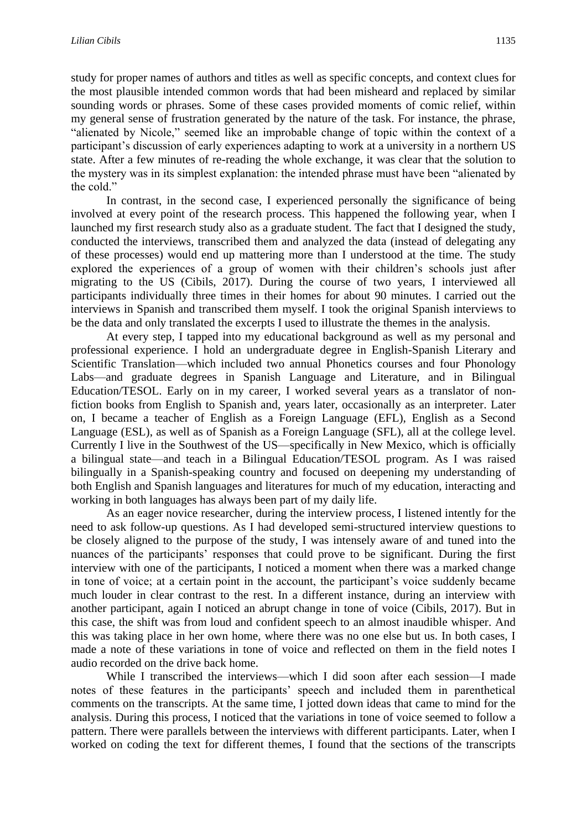study for proper names of authors and titles as well as specific concepts, and context clues for the most plausible intended common words that had been misheard and replaced by similar sounding words or phrases. Some of these cases provided moments of comic relief, within my general sense of frustration generated by the nature of the task. For instance, the phrase, "alienated by Nicole," seemed like an improbable change of topic within the context of a participant's discussion of early experiences adapting to work at a university in a northern US state. After a few minutes of re-reading the whole exchange, it was clear that the solution to the mystery was in its simplest explanation: the intended phrase must have been "alienated by the cold."

In contrast, in the second case, I experienced personally the significance of being involved at every point of the research process. This happened the following year, when I launched my first research study also as a graduate student. The fact that I designed the study, conducted the interviews, transcribed them and analyzed the data (instead of delegating any of these processes) would end up mattering more than I understood at the time. The study explored the experiences of a group of women with their children's schools just after migrating to the US (Cibils, 2017). During the course of two years, I interviewed all participants individually three times in their homes for about 90 minutes. I carried out the interviews in Spanish and transcribed them myself. I took the original Spanish interviews to be the data and only translated the excerpts I used to illustrate the themes in the analysis.

At every step, I tapped into my educational background as well as my personal and professional experience. I hold an undergraduate degree in English-Spanish Literary and Scientific Translation—which included two annual Phonetics courses and four Phonology Labs—and graduate degrees in Spanish Language and Literature, and in Bilingual Education/TESOL. Early on in my career, I worked several years as a translator of nonfiction books from English to Spanish and, years later, occasionally as an interpreter. Later on, I became a teacher of English as a Foreign Language (EFL), English as a Second Language (ESL), as well as of Spanish as a Foreign Language (SFL), all at the college level. Currently I live in the Southwest of the US—specifically in New Mexico, which is officially a bilingual state—and teach in a Bilingual Education/TESOL program. As I was raised bilingually in a Spanish-speaking country and focused on deepening my understanding of both English and Spanish languages and literatures for much of my education, interacting and working in both languages has always been part of my daily life.

As an eager novice researcher, during the interview process, I listened intently for the need to ask follow-up questions. As I had developed semi-structured interview questions to be closely aligned to the purpose of the study, I was intensely aware of and tuned into the nuances of the participants' responses that could prove to be significant. During the first interview with one of the participants, I noticed a moment when there was a marked change in tone of voice; at a certain point in the account, the participant's voice suddenly became much louder in clear contrast to the rest. In a different instance, during an interview with another participant, again I noticed an abrupt change in tone of voice (Cibils, 2017). But in this case, the shift was from loud and confident speech to an almost inaudible whisper. And this was taking place in her own home, where there was no one else but us. In both cases, I made a note of these variations in tone of voice and reflected on them in the field notes I audio recorded on the drive back home.

While I transcribed the interviews—which I did soon after each session—I made notes of these features in the participants' speech and included them in parenthetical comments on the transcripts. At the same time, I jotted down ideas that came to mind for the analysis. During this process, I noticed that the variations in tone of voice seemed to follow a pattern. There were parallels between the interviews with different participants. Later, when I worked on coding the text for different themes, I found that the sections of the transcripts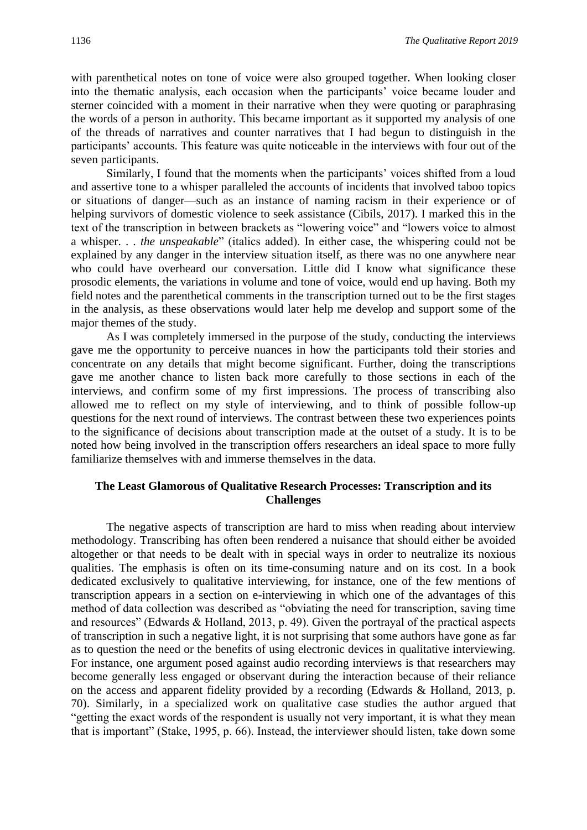with parenthetical notes on tone of voice were also grouped together. When looking closer into the thematic analysis, each occasion when the participants' voice became louder and sterner coincided with a moment in their narrative when they were quoting or paraphrasing the words of a person in authority. This became important as it supported my analysis of one of the threads of narratives and counter narratives that I had begun to distinguish in the participants' accounts. This feature was quite noticeable in the interviews with four out of the seven participants.

Similarly, I found that the moments when the participants' voices shifted from a loud and assertive tone to a whisper paralleled the accounts of incidents that involved taboo topics or situations of danger—such as an instance of naming racism in their experience or of helping survivors of domestic violence to seek assistance (Cibils, 2017). I marked this in the text of the transcription in between brackets as "lowering voice" and "lowers voice to almost a whisper. . . *the unspeakable*" (italics added). In either case, the whispering could not be explained by any danger in the interview situation itself, as there was no one anywhere near who could have overheard our conversation. Little did I know what significance these prosodic elements, the variations in volume and tone of voice, would end up having. Both my field notes and the parenthetical comments in the transcription turned out to be the first stages in the analysis, as these observations would later help me develop and support some of the major themes of the study.

As I was completely immersed in the purpose of the study, conducting the interviews gave me the opportunity to perceive nuances in how the participants told their stories and concentrate on any details that might become significant. Further, doing the transcriptions gave me another chance to listen back more carefully to those sections in each of the interviews, and confirm some of my first impressions. The process of transcribing also allowed me to reflect on my style of interviewing, and to think of possible follow-up questions for the next round of interviews. The contrast between these two experiences points to the significance of decisions about transcription made at the outset of a study. It is to be noted how being involved in the transcription offers researchers an ideal space to more fully familiarize themselves with and immerse themselves in the data.

#### **The Least Glamorous of Qualitative Research Processes: Transcription and its Challenges**

The negative aspects of transcription are hard to miss when reading about interview methodology. Transcribing has often been rendered a nuisance that should either be avoided altogether or that needs to be dealt with in special ways in order to neutralize its noxious qualities. The emphasis is often on its time-consuming nature and on its cost. In a book dedicated exclusively to qualitative interviewing, for instance, one of the few mentions of transcription appears in a section on e-interviewing in which one of the advantages of this method of data collection was described as "obviating the need for transcription, saving time and resources" (Edwards & Holland, 2013, p. 49). Given the portrayal of the practical aspects of transcription in such a negative light, it is not surprising that some authors have gone as far as to question the need or the benefits of using electronic devices in qualitative interviewing. For instance, one argument posed against audio recording interviews is that researchers may become generally less engaged or observant during the interaction because of their reliance on the access and apparent fidelity provided by a recording (Edwards & Holland, 2013, p. 70). Similarly, in a specialized work on qualitative case studies the author argued that "getting the exact words of the respondent is usually not very important, it is what they mean that is important" (Stake, 1995, p. 66). Instead, the interviewer should listen, take down some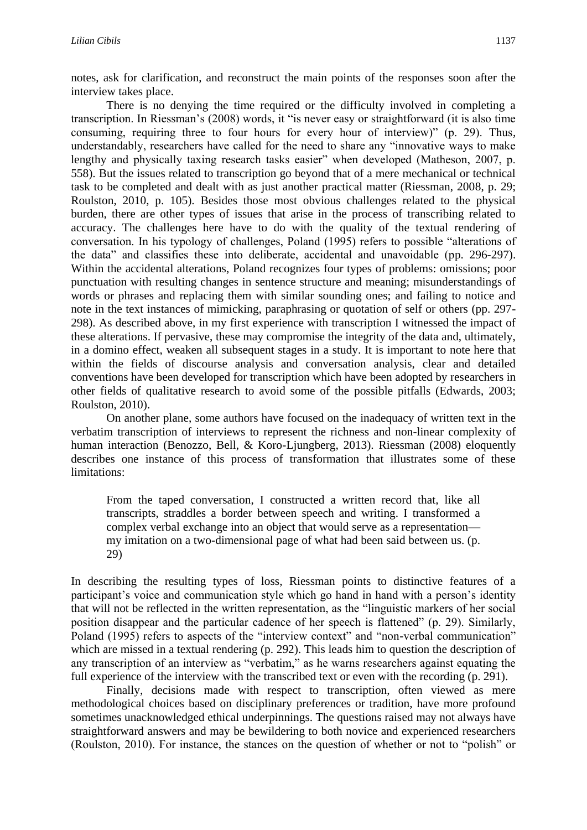notes, ask for clarification, and reconstruct the main points of the responses soon after the interview takes place.

There is no denying the time required or the difficulty involved in completing a transcription. In Riessman's (2008) words, it "is never easy or straightforward (it is also time consuming, requiring three to four hours for every hour of interview)" (p. 29). Thus, understandably, researchers have called for the need to share any "innovative ways to make lengthy and physically taxing research tasks easier" when developed (Matheson, 2007, p. 558). But the issues related to transcription go beyond that of a mere mechanical or technical task to be completed and dealt with as just another practical matter (Riessman, 2008, p. 29; Roulston, 2010, p. 105). Besides those most obvious challenges related to the physical burden, there are other types of issues that arise in the process of transcribing related to accuracy. The challenges here have to do with the quality of the textual rendering of conversation. In his typology of challenges, Poland (1995) refers to possible "alterations of the data" and classifies these into deliberate, accidental and unavoidable (pp. 296-297). Within the accidental alterations, Poland recognizes four types of problems: omissions; poor punctuation with resulting changes in sentence structure and meaning; misunderstandings of words or phrases and replacing them with similar sounding ones; and failing to notice and note in the text instances of mimicking, paraphrasing or quotation of self or others (pp. 297- 298). As described above, in my first experience with transcription I witnessed the impact of these alterations. If pervasive, these may compromise the integrity of the data and, ultimately, in a domino effect, weaken all subsequent stages in a study. It is important to note here that within the fields of discourse analysis and conversation analysis, clear and detailed conventions have been developed for transcription which have been adopted by researchers in other fields of qualitative research to avoid some of the possible pitfalls (Edwards, 2003; Roulston, 2010).

On another plane, some authors have focused on the inadequacy of written text in the verbatim transcription of interviews to represent the richness and non-linear complexity of human interaction (Benozzo, Bell, & Koro-Ljungberg, 2013). Riessman (2008) eloquently describes one instance of this process of transformation that illustrates some of these limitations:

From the taped conversation, I constructed a written record that, like all transcripts, straddles a border between speech and writing. I transformed a complex verbal exchange into an object that would serve as a representation my imitation on a two-dimensional page of what had been said between us. (p. 29)

In describing the resulting types of loss, Riessman points to distinctive features of a participant's voice and communication style which go hand in hand with a person's identity that will not be reflected in the written representation, as the "linguistic markers of her social position disappear and the particular cadence of her speech is flattened" (p. 29). Similarly, Poland (1995) refers to aspects of the "interview context" and "non-verbal communication" which are missed in a textual rendering (p. 292). This leads him to question the description of any transcription of an interview as "verbatim," as he warns researchers against equating the full experience of the interview with the transcribed text or even with the recording (p. 291).

Finally, decisions made with respect to transcription, often viewed as mere methodological choices based on disciplinary preferences or tradition, have more profound sometimes unacknowledged ethical underpinnings. The questions raised may not always have straightforward answers and may be bewildering to both novice and experienced researchers (Roulston, 2010). For instance, the stances on the question of whether or not to "polish" or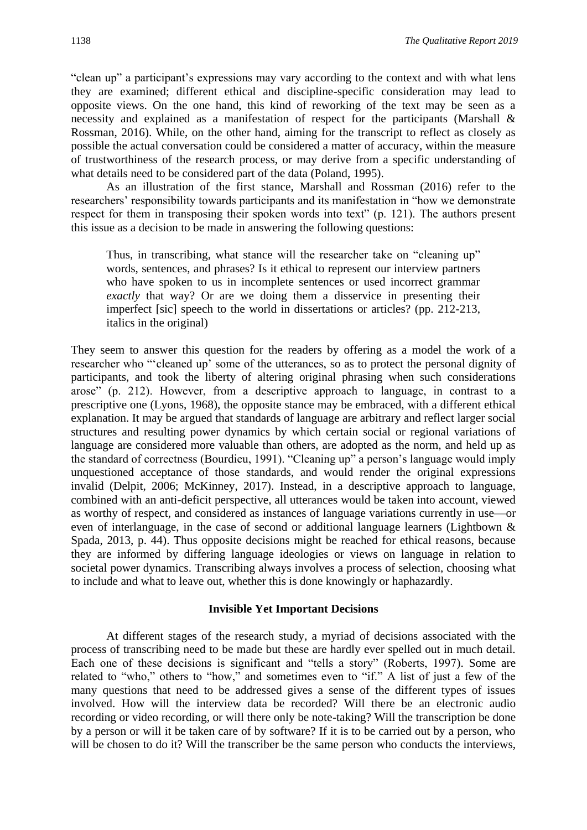"clean up" a participant's expressions may vary according to the context and with what lens they are examined; different ethical and discipline-specific consideration may lead to opposite views. On the one hand, this kind of reworking of the text may be seen as a necessity and explained as a manifestation of respect for the participants (Marshall & Rossman, 2016). While, on the other hand, aiming for the transcript to reflect as closely as possible the actual conversation could be considered a matter of accuracy, within the measure of trustworthiness of the research process, or may derive from a specific understanding of what details need to be considered part of the data (Poland, 1995).

As an illustration of the first stance, Marshall and Rossman (2016) refer to the researchers' responsibility towards participants and its manifestation in "how we demonstrate respect for them in transposing their spoken words into text" (p. 121). The authors present this issue as a decision to be made in answering the following questions:

Thus, in transcribing, what stance will the researcher take on "cleaning up" words, sentences, and phrases? Is it ethical to represent our interview partners who have spoken to us in incomplete sentences or used incorrect grammar *exactly* that way? Or are we doing them a disservice in presenting their imperfect [sic] speech to the world in dissertations or articles? (pp. 212-213, italics in the original)

They seem to answer this question for the readers by offering as a model the work of a researcher who "'cleaned up' some of the utterances, so as to protect the personal dignity of participants, and took the liberty of altering original phrasing when such considerations arose" (p. 212). However, from a descriptive approach to language, in contrast to a prescriptive one (Lyons, 1968), the opposite stance may be embraced, with a different ethical explanation. It may be argued that standards of language are arbitrary and reflect larger social structures and resulting power dynamics by which certain social or regional variations of language are considered more valuable than others, are adopted as the norm, and held up as the standard of correctness (Bourdieu, 1991). "Cleaning up" a person's language would imply unquestioned acceptance of those standards, and would render the original expressions invalid (Delpit, 2006; McKinney, 2017). Instead, in a descriptive approach to language, combined with an anti-deficit perspective, all utterances would be taken into account, viewed as worthy of respect, and considered as instances of language variations currently in use—or even of interlanguage, in the case of second or additional language learners (Lightbown & Spada, 2013, p. 44). Thus opposite decisions might be reached for ethical reasons, because they are informed by differing language ideologies or views on language in relation to societal power dynamics. Transcribing always involves a process of selection, choosing what to include and what to leave out, whether this is done knowingly or haphazardly.

#### **Invisible Yet Important Decisions**

At different stages of the research study, a myriad of decisions associated with the process of transcribing need to be made but these are hardly ever spelled out in much detail. Each one of these decisions is significant and "tells a story" (Roberts, 1997). Some are related to "who," others to "how," and sometimes even to "if." A list of just a few of the many questions that need to be addressed gives a sense of the different types of issues involved. How will the interview data be recorded? Will there be an electronic audio recording or video recording, or will there only be note-taking? Will the transcription be done by a person or will it be taken care of by software? If it is to be carried out by a person, who will be chosen to do it? Will the transcriber be the same person who conducts the interviews,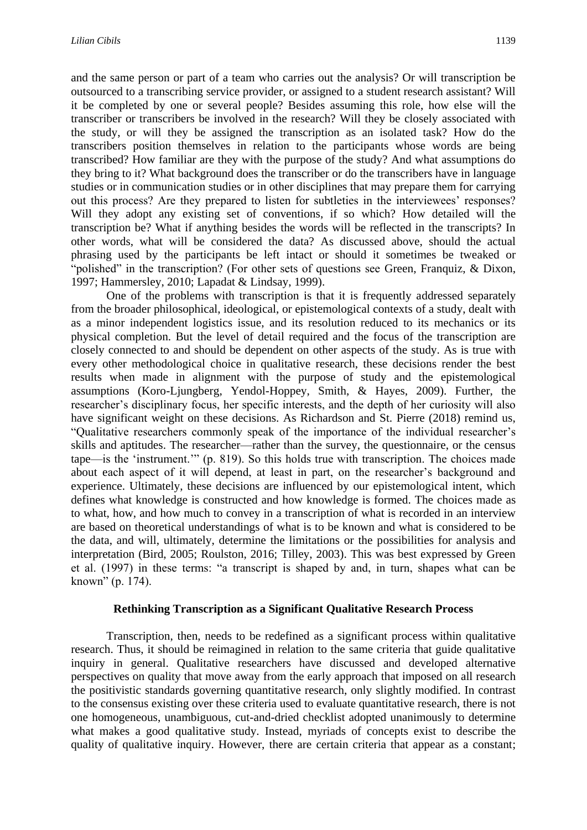and the same person or part of a team who carries out the analysis? Or will transcription be outsourced to a transcribing service provider, or assigned to a student research assistant? Will it be completed by one or several people? Besides assuming this role, how else will the transcriber or transcribers be involved in the research? Will they be closely associated with the study, or will they be assigned the transcription as an isolated task? How do the transcribers position themselves in relation to the participants whose words are being transcribed? How familiar are they with the purpose of the study? And what assumptions do they bring to it? What background does the transcriber or do the transcribers have in language studies or in communication studies or in other disciplines that may prepare them for carrying out this process? Are they prepared to listen for subtleties in the interviewees' responses? Will they adopt any existing set of conventions, if so which? How detailed will the transcription be? What if anything besides the words will be reflected in the transcripts? In other words, what will be considered the data? As discussed above, should the actual phrasing used by the participants be left intact or should it sometimes be tweaked or "polished" in the transcription? (For other sets of questions see Green, Franquiz, & Dixon, 1997; Hammersley, 2010; Lapadat & Lindsay, 1999).

One of the problems with transcription is that it is frequently addressed separately from the broader philosophical, ideological, or epistemological contexts of a study, dealt with as a minor independent logistics issue, and its resolution reduced to its mechanics or its physical completion. But the level of detail required and the focus of the transcription are closely connected to and should be dependent on other aspects of the study. As is true with every other methodological choice in qualitative research, these decisions render the best results when made in alignment with the purpose of study and the epistemological assumptions (Koro-Ljungberg, Yendol-Hoppey, Smith, & Hayes, 2009). Further, the researcher's disciplinary focus, her specific interests, and the depth of her curiosity will also have significant weight on these decisions. As Richardson and St. Pierre (2018) remind us, "Qualitative researchers commonly speak of the importance of the individual researcher's skills and aptitudes. The researcher—rather than the survey, the questionnaire, or the census tape—is the 'instrument.'" (p. 819). So this holds true with transcription. The choices made about each aspect of it will depend, at least in part, on the researcher's background and experience. Ultimately, these decisions are influenced by our epistemological intent, which defines what knowledge is constructed and how knowledge is formed. The choices made as to what, how, and how much to convey in a transcription of what is recorded in an interview are based on theoretical understandings of what is to be known and what is considered to be the data, and will, ultimately, determine the limitations or the possibilities for analysis and interpretation (Bird, 2005; Roulston, 2016; Tilley, 2003). This was best expressed by Green et al. (1997) in these terms: "a transcript is shaped by and, in turn, shapes what can be known" (p. 174).

#### **Rethinking Transcription as a Significant Qualitative Research Process**

Transcription, then, needs to be redefined as a significant process within qualitative research. Thus, it should be reimagined in relation to the same criteria that guide qualitative inquiry in general. Qualitative researchers have discussed and developed alternative perspectives on quality that move away from the early approach that imposed on all research the positivistic standards governing quantitative research, only slightly modified. In contrast to the consensus existing over these criteria used to evaluate quantitative research, there is not one homogeneous, unambiguous, cut-and-dried checklist adopted unanimously to determine what makes a good qualitative study. Instead, myriads of concepts exist to describe the quality of qualitative inquiry. However, there are certain criteria that appear as a constant;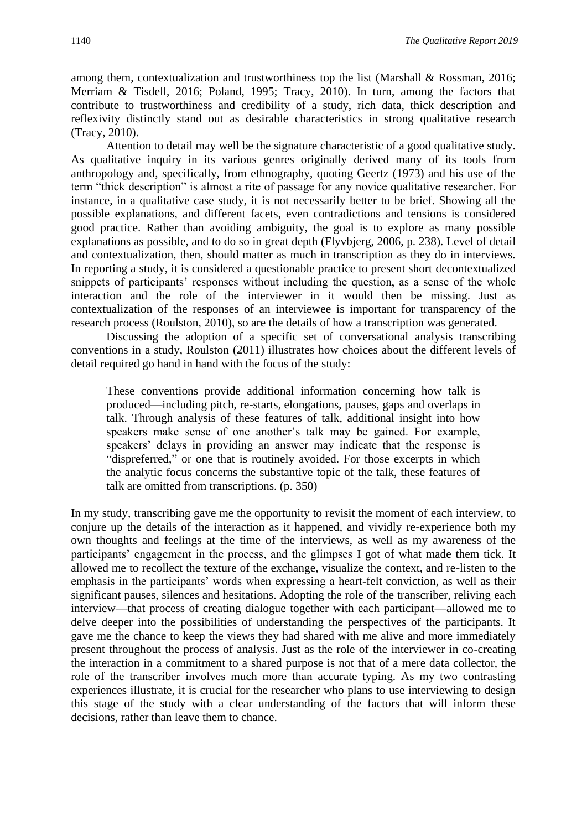among them, contextualization and trustworthiness top the list (Marshall & Rossman, 2016; Merriam & Tisdell, 2016; Poland, 1995; Tracy, 2010). In turn, among the factors that contribute to trustworthiness and credibility of a study, rich data, thick description and reflexivity distinctly stand out as desirable characteristics in strong qualitative research (Tracy, 2010).

Attention to detail may well be the signature characteristic of a good qualitative study. As qualitative inquiry in its various genres originally derived many of its tools from anthropology and, specifically, from ethnography, quoting Geertz (1973) and his use of the term "thick description" is almost a rite of passage for any novice qualitative researcher. For instance, in a qualitative case study, it is not necessarily better to be brief. Showing all the possible explanations, and different facets, even contradictions and tensions is considered good practice. Rather than avoiding ambiguity, the goal is to explore as many possible explanations as possible, and to do so in great depth (Flyvbjerg, 2006, p. 238). Level of detail and contextualization, then, should matter as much in transcription as they do in interviews. In reporting a study, it is considered a questionable practice to present short decontextualized snippets of participants' responses without including the question, as a sense of the whole interaction and the role of the interviewer in it would then be missing. Just as contextualization of the responses of an interviewee is important for transparency of the research process (Roulston, 2010), so are the details of how a transcription was generated.

Discussing the adoption of a specific set of conversational analysis transcribing conventions in a study, Roulston (2011) illustrates how choices about the different levels of detail required go hand in hand with the focus of the study:

These conventions provide additional information concerning how talk is produced—including pitch, re-starts, elongations, pauses, gaps and overlaps in talk. Through analysis of these features of talk, additional insight into how speakers make sense of one another's talk may be gained. For example, speakers' delays in providing an answer may indicate that the response is "dispreferred," or one that is routinely avoided. For those excerpts in which the analytic focus concerns the substantive topic of the talk, these features of talk are omitted from transcriptions. (p. 350)

In my study, transcribing gave me the opportunity to revisit the moment of each interview, to conjure up the details of the interaction as it happened, and vividly re-experience both my own thoughts and feelings at the time of the interviews, as well as my awareness of the participants' engagement in the process, and the glimpses I got of what made them tick. It allowed me to recollect the texture of the exchange, visualize the context, and re-listen to the emphasis in the participants' words when expressing a heart-felt conviction, as well as their significant pauses, silences and hesitations. Adopting the role of the transcriber, reliving each interview—that process of creating dialogue together with each participant—allowed me to delve deeper into the possibilities of understanding the perspectives of the participants. It gave me the chance to keep the views they had shared with me alive and more immediately present throughout the process of analysis. Just as the role of the interviewer in co-creating the interaction in a commitment to a shared purpose is not that of a mere data collector, the role of the transcriber involves much more than accurate typing. As my two contrasting experiences illustrate, it is crucial for the researcher who plans to use interviewing to design this stage of the study with a clear understanding of the factors that will inform these decisions, rather than leave them to chance.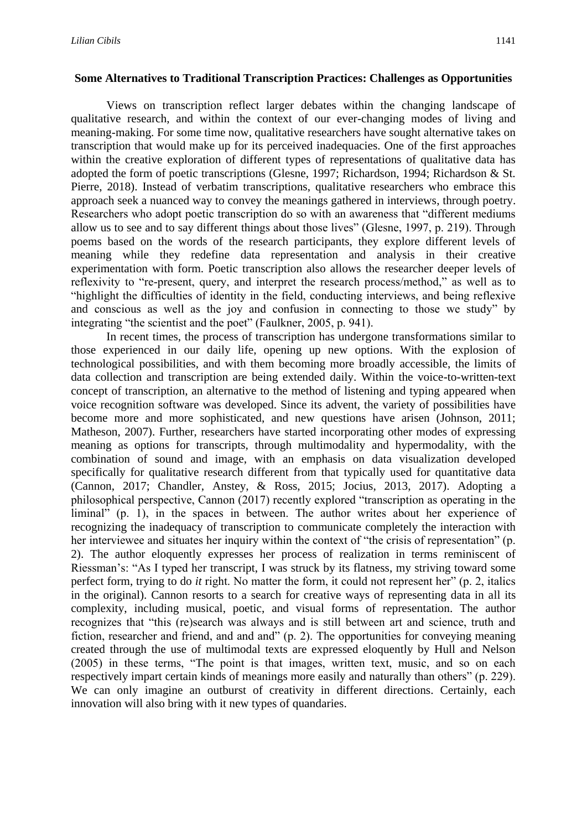#### **Some Alternatives to Traditional Transcription Practices: Challenges as Opportunities**

Views on transcription reflect larger debates within the changing landscape of qualitative research, and within the context of our ever-changing modes of living and meaning-making. For some time now, qualitative researchers have sought alternative takes on transcription that would make up for its perceived inadequacies. One of the first approaches within the creative exploration of different types of representations of qualitative data has adopted the form of poetic transcriptions (Glesne, 1997; Richardson, 1994; Richardson & St. Pierre, 2018). Instead of verbatim transcriptions, qualitative researchers who embrace this approach seek a nuanced way to convey the meanings gathered in interviews, through poetry. Researchers who adopt poetic transcription do so with an awareness that "different mediums allow us to see and to say different things about those lives" (Glesne, 1997, p. 219). Through poems based on the words of the research participants, they explore different levels of meaning while they redefine data representation and analysis in their creative experimentation with form. Poetic transcription also allows the researcher deeper levels of reflexivity to "re-present, query, and interpret the research process/method," as well as to "highlight the difficulties of identity in the field, conducting interviews, and being reflexive and conscious as well as the joy and confusion in connecting to those we study" by integrating "the scientist and the poet" (Faulkner, 2005, p. 941).

In recent times, the process of transcription has undergone transformations similar to those experienced in our daily life, opening up new options. With the explosion of technological possibilities, and with them becoming more broadly accessible, the limits of data collection and transcription are being extended daily. Within the voice-to-written-text concept of transcription, an alternative to the method of listening and typing appeared when voice recognition software was developed. Since its advent, the variety of possibilities have become more and more sophisticated, and new questions have arisen (Johnson, 2011; Matheson, 2007). Further, researchers have started incorporating other modes of expressing meaning as options for transcripts, through multimodality and hypermodality, with the combination of sound and image, with an emphasis on data visualization developed specifically for qualitative research different from that typically used for quantitative data (Cannon, 2017; Chandler, Anstey, & Ross, 2015; Jocius, 2013, 2017). Adopting a philosophical perspective, Cannon (2017) recently explored "transcription as operating in the liminal" (p. 1), in the spaces in between. The author writes about her experience of recognizing the inadequacy of transcription to communicate completely the interaction with her interviewee and situates her inquiry within the context of "the crisis of representation" (p. 2). The author eloquently expresses her process of realization in terms reminiscent of Riessman's: "As I typed her transcript, I was struck by its flatness, my striving toward some perfect form, trying to do *it* right. No matter the form, it could not represent her" (p. 2, italics in the original). Cannon resorts to a search for creative ways of representing data in all its complexity, including musical, poetic, and visual forms of representation. The author recognizes that "this (re)search was always and is still between art and science, truth and fiction, researcher and friend, and and and" (p. 2). The opportunities for conveying meaning created through the use of multimodal texts are expressed eloquently by Hull and Nelson (2005) in these terms, "The point is that images, written text, music, and so on each respectively impart certain kinds of meanings more easily and naturally than others" (p. 229). We can only imagine an outburst of creativity in different directions. Certainly, each innovation will also bring with it new types of quandaries.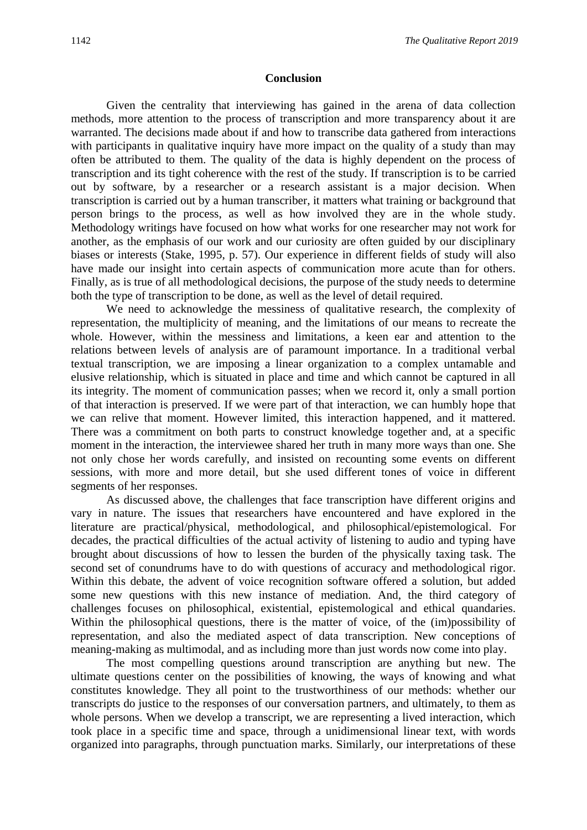#### **Conclusion**

Given the centrality that interviewing has gained in the arena of data collection methods, more attention to the process of transcription and more transparency about it are warranted. The decisions made about if and how to transcribe data gathered from interactions with participants in qualitative inquiry have more impact on the quality of a study than may often be attributed to them. The quality of the data is highly dependent on the process of transcription and its tight coherence with the rest of the study. If transcription is to be carried out by software, by a researcher or a research assistant is a major decision. When transcription is carried out by a human transcriber, it matters what training or background that person brings to the process, as well as how involved they are in the whole study. Methodology writings have focused on how what works for one researcher may not work for another, as the emphasis of our work and our curiosity are often guided by our disciplinary biases or interests (Stake, 1995, p. 57). Our experience in different fields of study will also have made our insight into certain aspects of communication more acute than for others. Finally, as is true of all methodological decisions, the purpose of the study needs to determine both the type of transcription to be done, as well as the level of detail required.

We need to acknowledge the messiness of qualitative research, the complexity of representation, the multiplicity of meaning, and the limitations of our means to recreate the whole. However, within the messiness and limitations, a keen ear and attention to the relations between levels of analysis are of paramount importance. In a traditional verbal textual transcription, we are imposing a linear organization to a complex untamable and elusive relationship, which is situated in place and time and which cannot be captured in all its integrity. The moment of communication passes; when we record it, only a small portion of that interaction is preserved. If we were part of that interaction, we can humbly hope that we can relive that moment. However limited, this interaction happened, and it mattered. There was a commitment on both parts to construct knowledge together and, at a specific moment in the interaction, the interviewee shared her truth in many more ways than one. She not only chose her words carefully, and insisted on recounting some events on different sessions, with more and more detail, but she used different tones of voice in different segments of her responses.

As discussed above, the challenges that face transcription have different origins and vary in nature. The issues that researchers have encountered and have explored in the literature are practical/physical, methodological, and philosophical/epistemological. For decades, the practical difficulties of the actual activity of listening to audio and typing have brought about discussions of how to lessen the burden of the physically taxing task. The second set of conundrums have to do with questions of accuracy and methodological rigor. Within this debate, the advent of voice recognition software offered a solution, but added some new questions with this new instance of mediation. And, the third category of challenges focuses on philosophical, existential, epistemological and ethical quandaries. Within the philosophical questions, there is the matter of voice, of the (im)possibility of representation, and also the mediated aspect of data transcription. New conceptions of meaning-making as multimodal, and as including more than just words now come into play.

The most compelling questions around transcription are anything but new. The ultimate questions center on the possibilities of knowing, the ways of knowing and what constitutes knowledge. They all point to the trustworthiness of our methods: whether our transcripts do justice to the responses of our conversation partners, and ultimately, to them as whole persons. When we develop a transcript, we are representing a lived interaction, which took place in a specific time and space, through a unidimensional linear text, with words organized into paragraphs, through punctuation marks. Similarly, our interpretations of these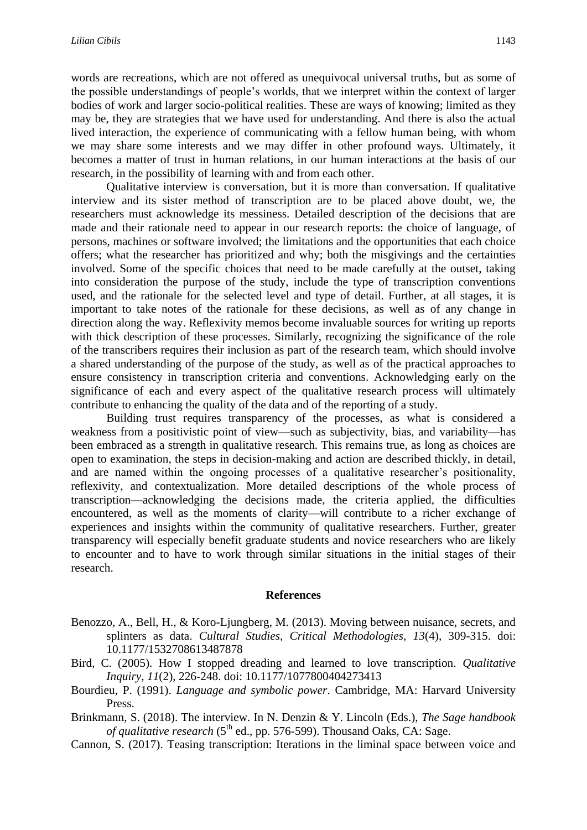words are recreations, which are not offered as unequivocal universal truths, but as some of the possible understandings of people's worlds, that we interpret within the context of larger bodies of work and larger socio-political realities. These are ways of knowing; limited as they may be, they are strategies that we have used for understanding. And there is also the actual lived interaction, the experience of communicating with a fellow human being, with whom we may share some interests and we may differ in other profound ways. Ultimately, it becomes a matter of trust in human relations, in our human interactions at the basis of our research, in the possibility of learning with and from each other.

Qualitative interview is conversation, but it is more than conversation. If qualitative interview and its sister method of transcription are to be placed above doubt, we, the researchers must acknowledge its messiness. Detailed description of the decisions that are made and their rationale need to appear in our research reports: the choice of language, of persons, machines or software involved; the limitations and the opportunities that each choice offers; what the researcher has prioritized and why; both the misgivings and the certainties involved. Some of the specific choices that need to be made carefully at the outset, taking into consideration the purpose of the study, include the type of transcription conventions used, and the rationale for the selected level and type of detail. Further, at all stages, it is important to take notes of the rationale for these decisions, as well as of any change in direction along the way. Reflexivity memos become invaluable sources for writing up reports with thick description of these processes. Similarly, recognizing the significance of the role of the transcribers requires their inclusion as part of the research team, which should involve a shared understanding of the purpose of the study, as well as of the practical approaches to ensure consistency in transcription criteria and conventions. Acknowledging early on the significance of each and every aspect of the qualitative research process will ultimately contribute to enhancing the quality of the data and of the reporting of a study.

Building trust requires transparency of the processes, as what is considered a weakness from a positivistic point of view—such as subjectivity, bias, and variability—has been embraced as a strength in qualitative research. This remains true, as long as choices are open to examination, the steps in decision-making and action are described thickly, in detail, and are named within the ongoing processes of a qualitative researcher's positionality, reflexivity, and contextualization. More detailed descriptions of the whole process of transcription—acknowledging the decisions made, the criteria applied, the difficulties encountered, as well as the moments of clarity—will contribute to a richer exchange of experiences and insights within the community of qualitative researchers. Further, greater transparency will especially benefit graduate students and novice researchers who are likely to encounter and to have to work through similar situations in the initial stages of their research.

#### **References**

- Benozzo, A., Bell, H., & Koro-Ljungberg, M. (2013). Moving between nuisance, secrets, and splinters as data. *Cultural Studies, Critical Methodologies, 13*(4), 309-315. doi: 10.1177/1532708613487878
- Bird, C. (2005). How I stopped dreading and learned to love transcription. *Qualitative Inquiry, 11*(2), 226-248. doi: 10.1177/1077800404273413
- Bourdieu, P. (1991). *Language and symbolic power*. Cambridge, MA: Harvard University Press.
- Brinkmann, S. (2018). The interview. In N. Denzin & Y. Lincoln (Eds.), *The Sage handbook of qualitative research* (5<sup>th</sup> ed., pp. 576-599). Thousand Oaks, CA: Sage.
- Cannon, S. (2017). Teasing transcription: Iterations in the liminal space between voice and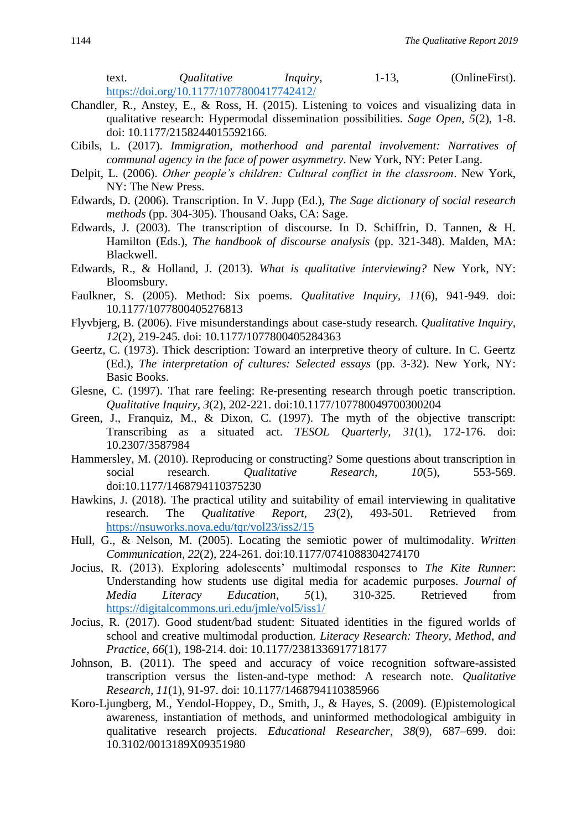text. *Qualitative Inquiry*, 1-13, (OnlineFirst). <https://doi.org/10.1177/1077800417742412/>

- Chandler, R., Anstey, E., & Ross, H. (2015). Listening to voices and visualizing data in qualitative research: Hypermodal dissemination possibilities. *Sage Open, 5*(2), 1-8. doi: 10.1177/2158244015592166.
- Cibils, L. (2017). *Immigration, motherhood and parental involvement: Narratives of communal agency in the face of power asymmetry*. New York, NY: Peter Lang.
- Delpit, L. (2006). *Other people's children: Cultural conflict in the classroom*. New York, NY: The New Press.
- Edwards, D. (2006). Transcription. In V. Jupp (Ed.), *The Sage dictionary of social research methods* (pp. 304-305). Thousand Oaks, CA: Sage.
- Edwards, J. (2003). The transcription of discourse. In D. Schiffrin, D. Tannen, & H. Hamilton (Eds.), *The handbook of discourse analysis* (pp. 321-348). Malden, MA: Blackwell.
- Edwards, R., & Holland, J. (2013). *What is qualitative interviewing?* New York, NY: Bloomsbury.
- Faulkner, S. (2005). Method: Six poems. *Qualitative Inquiry, 11*(6), 941-949. doi: 10.1177/1077800405276813
- Flyvbjerg, B. (2006). Five misunderstandings about case-study research. *Qualitative Inquiry, 12*(2), 219-245. doi: 10.1177/1077800405284363
- Geertz, C. (1973). Thick description: Toward an interpretive theory of culture. In C. Geertz (Ed.), *The interpretation of cultures: Selected essays* (pp. 3-32). New York, NY: Basic Books.
- Glesne, C. (1997). That rare feeling: Re-presenting research through poetic transcription. *Qualitative Inquiry, 3*(2), 202-221. doi:10.1177/107780049700300204
- Green, J., Franquiz, M., & Dixon, C. (1997). The myth of the objective transcript: Transcribing as a situated act. *TESOL Quarterly, 31*(1), 172-176. doi: 10.2307/3587984
- Hammersley, M. (2010). Reproducing or constructing? Some questions about transcription in social research. *Qualitative Research, 10*(5), 553-569. doi:10.1177/1468794110375230
- Hawkins, J. (2018). The practical utility and suitability of email interviewing in qualitative research. The *Qualitative Report, 23*(2), 493-501. Retrieved from <https://nsuworks.nova.edu/tqr/vol23/iss2/15>
- Hull, G., & Nelson, M. (2005). Locating the semiotic power of multimodality. *Written Communication, 22*(2), 224-261. doi:10.1177/0741088304274170
- Jocius, R. (2013). Exploring adolescents' multimodal responses to *The Kite Runner*: Understanding how students use digital media for academic purposes. *Journal of Media Literacy Education, 5*(1), 310-325. Retrieved from <https://digitalcommons.uri.edu/jmle/vol5/iss1/>
- Jocius, R. (2017). Good student/bad student: Situated identities in the figured worlds of school and creative multimodal production. *Literacy Research: Theory, Method, and Practice, 66*(1), 198-214. doi: 10.1177/2381336917718177
- Johnson, B. (2011). The speed and accuracy of voice recognition software-assisted transcription versus the listen-and-type method: A research note. *Qualitative Research, 11*(1), 91-97. doi: 10.1177/1468794110385966
- Koro-Ljungberg, M., Yendol-Hoppey, D., Smith, J., & Hayes, S. (2009). (E)pistemological awareness, instantiation of methods, and uninformed methodological ambiguity in qualitative research projects. *Educational Researcher*, *38*(9), 687–699. doi: 10.3102/0013189X09351980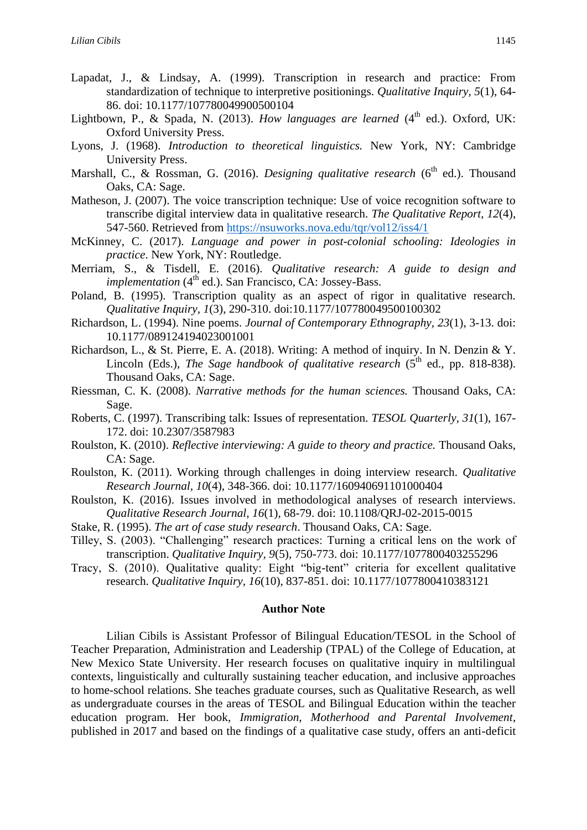- Lapadat, J., & Lindsay, A. (1999). Transcription in research and practice: From standardization of technique to interpretive positionings. *Qualitative Inquiry, 5*(1), 64- 86. doi: 10.1177/107780049900500104
- Lightbown, P., & Spada, N. (2013). *How languages are learned* (4<sup>th</sup> ed.). Oxford, UK: Oxford University Press.
- Lyons, J. (1968). *Introduction to theoretical linguistics.* New York, NY: Cambridge University Press.
- Marshall, C., & Rossman, G. (2016). *Designing qualitative research* (6<sup>th</sup> ed.). Thousand Oaks, CA: Sage.
- Matheson, J. (2007). The voice transcription technique: Use of voice recognition software to transcribe digital interview data in qualitative research. *The Qualitative Report, 12*(4), 547-560. Retrieved from<https://nsuworks.nova.edu/tqr/vol12/iss4/1>
- McKinney, C. (2017). *Language and power in post-colonial schooling: Ideologies in practice*. New York, NY: Routledge.
- Merriam, S., & Tisdell, E. (2016). *Qualitative research: A guide to design and implementation* (4<sup>th</sup> ed.). San Francisco, CA: Jossey-Bass.
- Poland, B. (1995). Transcription quality as an aspect of rigor in qualitative research. *Qualitative Inquiry, 1*(3), 290-310. doi:10.1177/107780049500100302
- Richardson, L. (1994). Nine poems. *Journal of Contemporary Ethnography, 23*(1), 3-13. doi: 10.1177/089124194023001001
- Richardson, L., & St. Pierre, E. A. (2018). Writing: A method of inquiry. In N. Denzin & Y. Lincoln (Eds.), *The Sage handbook of qualitative research* (5<sup>th</sup> ed., pp. 818-838). Thousand Oaks, CA: Sage.
- Riessman, C. K. (2008). *Narrative methods for the human sciences.* Thousand Oaks, CA: Sage.
- Roberts, C. (1997). Transcribing talk: Issues of representation. *TESOL Quarterly, 31*(1), 167- 172. doi: 10.2307/3587983
- Roulston, K. (2010). *Reflective interviewing: A guide to theory and practice.* Thousand Oaks, CA: Sage.
- Roulston, K. (2011). Working through challenges in doing interview research. *Qualitative Research Journal, 10*(4), 348-366. doi: 10.1177/160940691101000404
- Roulston, K. (2016). Issues involved in methodological analyses of research interviews. *Qualitative Research Journal, 16*(1), 68-79. doi: 10.1108/QRJ-02-2015-0015
- Stake, R. (1995). *The art of case study research*. Thousand Oaks, CA: Sage.
- Tilley, S. (2003). "Challenging" research practices: Turning a critical lens on the work of transcription. *Qualitative Inquiry, 9*(5), 750-773. doi: 10.1177/1077800403255296
- Tracy, S. (2010). Qualitative quality: Eight "big-tent" criteria for excellent qualitative research. *Qualitative Inquiry, 16*(10), 837-851. doi: 10.1177/1077800410383121

#### **Author Note**

Lilian Cibils is Assistant Professor of Bilingual Education/TESOL in the School of Teacher Preparation, Administration and Leadership (TPAL) of the College of Education, at New Mexico State University. Her research focuses on qualitative inquiry in multilingual contexts, linguistically and culturally sustaining teacher education, and inclusive approaches to home-school relations. She teaches graduate courses, such as Qualitative Research, as well as undergraduate courses in the areas of TESOL and Bilingual Education within the teacher education program. Her book, *Immigration, Motherhood and Parental Involvement*, published in 2017 and based on the findings of a qualitative case study, offers an anti-deficit